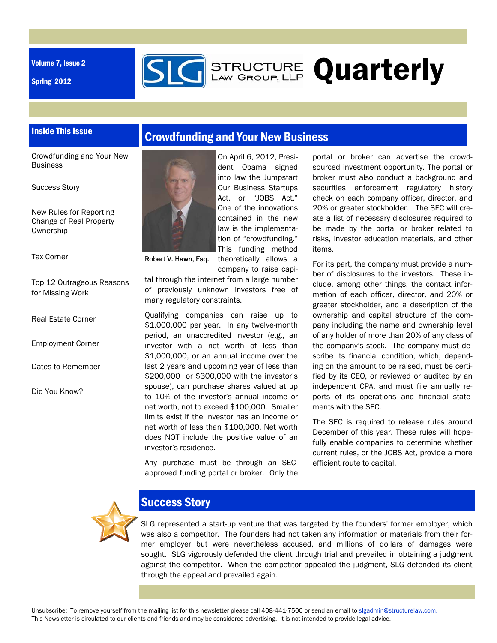Volume 7, Issue 2

Spring 2012



Crowdfunding and Your New Business

## Inside This Issue

Crowdfunding and Your New Business

Success Story

New Rules for Reporting Change of Real Property **Ownership** 

Tax Corner

Top 12 Outrageous Reasons for Missing Work

Real Estate Corner

Employment Corner

Dates to Remember

Did You Know?



On April 6, 2012, President Obama signed into law the Jumpstart Our Business Startups Act, or "JOBS Act." One of the innovations contained in the new law is the implementation of "crowdfunding." This funding method theoretically allows a

company to raise capi-Robert V. Hawn, Esq.

tal through the internet from a large number of previously unknown investors free of many regulatory constraints.

Qualifying companies can raise up to \$1,000,000 per year. In any twelve-month period, an unaccredited investor (e.g., an investor with a net worth of less than \$1,000,000, or an annual income over the last 2 years and upcoming year of less than \$200,000 or \$300,000 with the investor's spouse), can purchase shares valued at up to 10% of the investor's annual income or net worth, not to exceed \$100,000. Smaller limits exist if the investor has an income or net worth of less than \$100,000, Net worth does NOT include the positive value of an investor's residence.

Any purchase must be through an SECapproved funding portal or broker. Only the portal or broker can advertise the crowdsourced investment opportunity. The portal or broker must also conduct a background and securities enforcement regulatory history check on each company officer, director, and 20% or greater stockholder. The SEC will create a list of necessary disclosures required to be made by the portal or broker related to risks, investor education materials, and other items.

For its part, the company must provide a number of disclosures to the investors. These include, among other things, the contact information of each officer, director, and 20% or greater stockholder, and a description of the ownership and capital structure of the company including the name and ownership level of any holder of more than 20% of any class of the company's stock. The company must describe its financial condition, which, depending on the amount to be raised, must be certified by its CEO, or reviewed or audited by an independent CPA, and must file annually reports of its operations and financial statements with the SEC.

The SEC is required to release rules around December of this year. These rules will hopefully enable companies to determine whether current rules, or the JOBS Act, provide a more efficient route to capital.



### Success Story

SLG represented a start-up venture that was targeted by the founders' former employer, which was also a competitor. The founders had not taken any information or materials from their former employer but were nevertheless accused, and millions of dollars of damages were sought. SLG vigorously defended the client through trial and prevailed in obtaining a judgment against the competitor. When the competitor appealed the judgment, SLG defended its client through the appeal and prevailed again.

Unsubscribe: To remove yourself from the mailing list for this newsletter please call 408-441-7500 or send an email to slgadmin@structurelaw.com. This Newsletter is circulated to our clients and friends and may be considered advertising. It is not intended to provide legal advice.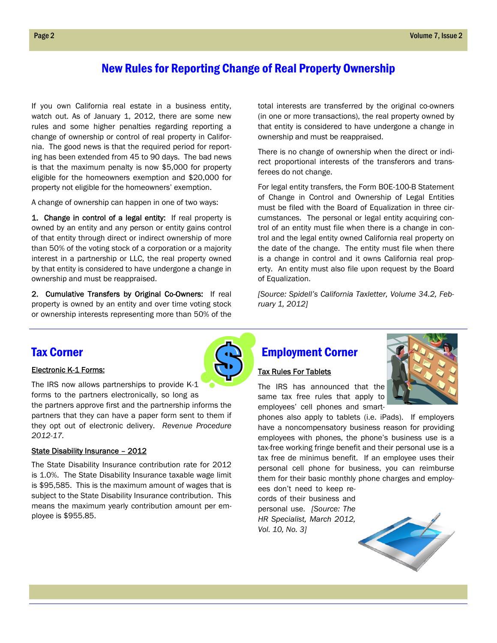## New Rules for Reporting Change of Real Property Ownership

If you own California real estate in a business entity, watch out. As of January 1, 2012, there are some new rules and some higher penalties regarding reporting a change of ownership or control of real property in California. The good news is that the required period for reporting has been extended from 45 to 90 days. The bad news is that the maximum penalty is now \$5,000 for property eligible for the homeowners exemption and \$20,000 for property not eligible for the homeowners' exemption.

A change of ownership can happen in one of two ways:

1. Change in control of a legal entity: If real property is owned by an entity and any person or entity gains control of that entity through direct or indirect ownership of more than 50% of the voting stock of a corporation or a majority interest in a partnership or LLC, the real property owned by that entity is considered to have undergone a change in ownership and must be reappraised.

2. Cumulative Transfers by Original Co-Owners: If real property is owned by an entity and over time voting stock or ownership interests representing more than 50% of the

the partners approve first and the partnership informs the partners that they can have a paper form sent to them if they opt out of electronic delivery. *Revenue Procedure* 

The State Disability Insurance contribution rate for 2012 is 1.0%. The State Disability Insurance taxable wage limit is \$95,585. This is the maximum amount of wages that is subject to the State Disability Insurance contribution. This means the maximum yearly contribution amount per emtotal interests are transferred by the original co-owners (in one or more transactions), the real property owned by that entity is considered to have undergone a change in ownership and must be reappraised.

There is no change of ownership when the direct or indirect proportional interests of the transferors and transferees do not change.

For legal entity transfers, the Form BOE-100-B Statement of Change in Control and Ownership of Legal Entities must be filed with the Board of Equalization in three circumstances. The personal or legal entity acquiring control of an entity must file when there is a change in control and the legal entity owned California real property on the date of the change. The entity must file when there is a change in control and it owns California real property. An entity must also file upon request by the Board of Equalization.

*[Source: Spidell's California Taxletter, Volume 34.2, February 1, 2012]* 

## Tax Corner

*2012-17.* 

ployee is \$955.85.

#### Electronic K-1 Forms:

State Disability Insurance – 2012



# Tax Rules For Tablets

Employment Corner

The IRS has announced that the same tax free rules that apply to employees' cell phones and smart-



phones also apply to tablets (i.e. iPads). If employers have a noncompensatory business reason for providing employees with phones, the phone's business use is a tax-free working fringe benefit and their personal use is a tax free de minimus benefit. If an employee uses their personal cell phone for business, you can reimburse them for their basic monthly phone charges and employ-

ees don't need to keep records of their business and personal use. *[Source: The HR Specialist, March 2012, Vol. 10, No. 3]* 

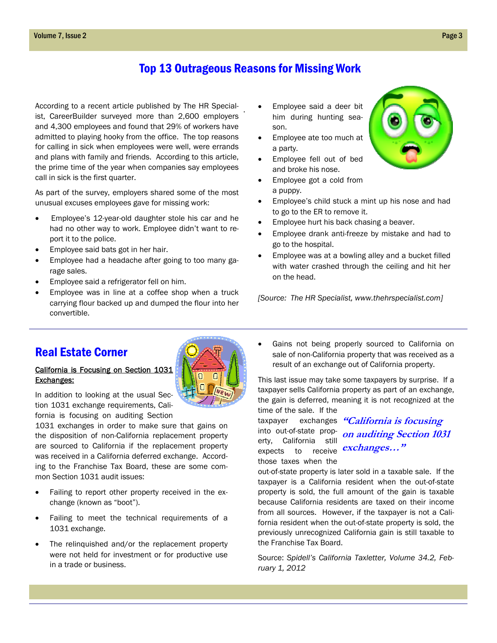## Top 13 Outrageous Reasons for Missing Work

. According to a recent article published by The HR Specialist, CareerBuilder surveyed more than 2,600 employers and 4,300 employees and found that 29% of workers have admitted to playing hooky from the office. The top reasons for calling in sick when employees were well, were errands and plans with family and friends. According to this article, the prime time of the year when companies say employees call in sick is the first quarter.

As part of the survey, employers shared some of the most unusual excuses employees gave for missing work:

- Employee's 12-year-old daughter stole his car and he had no other way to work. Employee didn't want to report it to the police.
- Employee said bats got in her hair.
- Employee had a headache after going to too many garage sales.
- Employee said a refrigerator fell on him.
- Employee was in line at a coffee shop when a truck carrying flour backed up and dumped the flour into her convertible.
- Employee said a deer bit him during hunting season.
- Employee ate too much at a party.
- Employee fell out of bed and broke his nose.
- Employee got a cold from a puppy.
- Employee's child stuck a mint up his nose and had to go to the ER to remove it.
- Employee hurt his back chasing a beaver.
- Employee drank anti-freeze by mistake and had to go to the hospital.
- Employee was at a bowling alley and a bucket filled with water crashed through the ceiling and hit her on the head.

*[Source: The HR Specialist, www.thehrspecialist.com]* 

## Real Estate Corner

#### California is Focusing on Section 1031 Exchanges:

In addition to looking at the usual Section 1031 exchange requirements, California is focusing on auditing Section

1031 exchanges in order to make sure that gains on the disposition of non-California replacement property are sourced to California if the replacement property was received in a California deferred exchange. According to the Franchise Tax Board, these are some common Section 1031 audit issues:

- Failing to report other property received in the exchange (known as "boot").
- Failing to meet the technical requirements of a 1031 exchange.
- The relinquished and/or the replacement property were not held for investment or for productive use in a trade or business.

 Gains not being properly sourced to California on sale of non-California property that was received as a result of an exchange out of California property.

This last issue may take some taxpayers by surprise. If a taxpayer sells California property as part of an exchange, the gain is deferred, meaning it is not recognized at the time of the sale. If the

into out-of-state property, California still expects to receive *exchanges...*" those taxes when the

taxpayer exchanges **"California is focusing on auditing Section 1031** 

out-of-state property is later sold in a taxable sale. If the taxpayer is a California resident when the out-of-state property is sold, the full amount of the gain is taxable because California residents are taxed on their income from all sources. However, if the taxpayer is not a California resident when the out-of-state property is sold, the previously unrecognized California gain is still taxable to the Franchise Tax Board.

Source: *Spidell's California Taxletter, Volume 34.2, February 1, 2012*